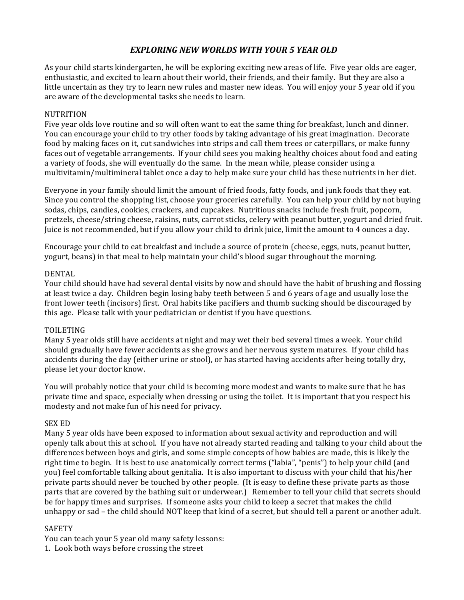# *EXPLORING NEW WORLDS WITH YOUR 5 YEAR OLD*

As your child starts kindergarten, he will be exploring exciting new areas of life. Five year olds are eager, enthusiastic, and excited to learn about their world, their friends, and their family. But they are also a little uncertain as they try to learn new rules and master new ideas. You will enjoy your 5 year old if you are aware of the developmental tasks she needs to learn.

## NUTRITION

Five year olds love routine and so will often want to eat the same thing for breakfast, lunch and dinner. You can encourage your child to try other foods by taking advantage of his great imagination. Decorate food by making faces on it, cut sandwiches into strips and call them trees or caterpillars, or make funny faces out of vegetable arrangements. If your child sees you making healthy choices about food and eating a variety of foods, she will eventually do the same. In the mean while, please consider using a multivitamin/multimineral tablet once a day to help make sure your child has these nutrients in her diet.

Everyone in your family should limit the amount of fried foods, fatty foods, and junk foods that they eat. Since you control the shopping list, choose your groceries carefully. You can help your child by not buying sodas, chips, candies, cookies, crackers, and cupcakes. Nutritious snacks include fresh fruit, popcorn, pretzels, cheese/string cheese, raisins, nuts, carrot sticks, celery with peanut butter, yogurt and dried fruit. Juice is not recommended, but if you allow your child to drink juice, limit the amount to 4 ounces a day.

Encourage your child to eat breakfast and include a source of protein (cheese, eggs, nuts, peanut butter, yogurt, beans) in that meal to help maintain your child's blood sugar throughout the morning.

## DENTAL

Your child should have had several dental visits by now and should have the habit of brushing and flossing at least twice a day. Children begin losing baby teeth between 5 and 6 years of age and usually lose the front lower teeth (incisors) first. Oral habits like pacifiers and thumb sucking should be discouraged by this age. Please talk with your pediatrician or dentist if you have questions.

## TOILETING

Many 5 year olds still have accidents at night and may wet their bed several times a week. Your child should gradually have fewer accidents as she grows and her nervous system matures. If your child has accidents during the day (either urine or stool), or has started having accidents after being totally dry, please let your doctor know.

You will probably notice that your child is becoming more modest and wants to make sure that he has private time and space, especially when dressing or using the toilet. It is important that you respect his modesty and not make fun of his need for privacy.

## SEX ED

Many 5 year olds have been exposed to information about sexual activity and reproduction and will openly talk about this at school. If you have not already started reading and talking to your child about the differences between boys and girls, and some simple concepts of how babies are made, this is likely the right time to begin. It is best to use anatomically correct terms ("labia", "penis") to help your child (and you) feel comfortable talking about genitalia. It is also important to discuss with your child that his/her private parts should never be touched by other people. (It is easy to define these private parts as those parts that are covered by the bathing suit or underwear.) Remember to tell your child that secrets should be for happy times and surprises. If someone asks your child to keep a secret that makes the child unhappy or sad – the child should NOT keep that kind of a secret, but should tell a parent or another adult.

## SAFETY

You can teach your 5 year old many safety lessons:

1. Look both ways before crossing the street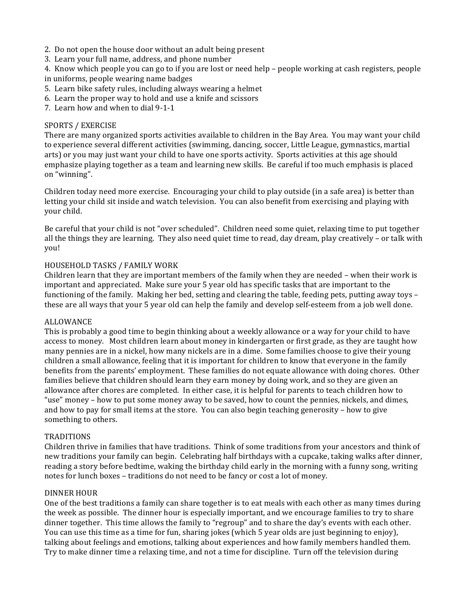- 2. Do not open the house door without an adult being present
- 3. Learn your full name, address, and phone number

4. Know which people you can go to if you are lost or need help – people working at cash registers, people in uniforms, people wearing name badges

- 5. Learn bike safety rules, including always wearing a helmet
- 6. Learn the proper way to hold and use a knife and scissors
- 7. Learn how and when to dial 9-1-1

### SPORTS / EXERCISE

There are many organized sports activities available to children in the Bay Area. You may want your child to experience several different activities (swimming, dancing, soccer, Little League, gymnastics, martial arts) or you may just want your child to have one sports activity. Sports activities at this age should emphasize playing together as a team and learning new skills. Be careful if too much emphasis is placed on "winning".

Children today need more exercise. Encouraging your child to play outside (in a safe area) is better than letting your child sit inside and watch television. You can also benefit from exercising and playing with your child.

Be careful that your child is not "over scheduled". Children need some quiet, relaxing time to put together all the things they are learning. They also need quiet time to read, day dream, play creatively – or talk with you!

#### HOUSEHOLD TASKS / FAMILY WORK

Children learn that they are important members of the family when they are needed - when their work is important and appreciated. Make sure your 5 year old has specific tasks that are important to the functioning of the family. Making her bed, setting and clearing the table, feeding pets, putting away toys  $$ these are all ways that your 5 year old can help the family and develop self-esteem from a job well done.

#### ALLOWANCE

This is probably a good time to begin thinking about a weekly allowance or a way for your child to have access to money. Most children learn about money in kindergarten or first grade, as they are taught how many pennies are in a nickel, how many nickels are in a dime. Some families choose to give their young children a small allowance, feeling that it is important for children to know that everyone in the family benefits from the parents' employment. These families do not equate allowance with doing chores. Other families believe that children should learn they earn money by doing work, and so they are given an allowance after chores are completed. In either case, it is helpful for parents to teach children how to "use" money – how to put some money away to be saved, how to count the pennies, nickels, and dimes, and how to pay for small items at the store. You can also begin teaching generosity – how to give something to others.

#### **TRADITIONS**

Children thrive in families that have traditions. Think of some traditions from your ancestors and think of new traditions your family can begin. Celebrating half birthdays with a cupcake, taking walks after dinner, reading a story before bedtime, waking the birthday child early in the morning with a funny song, writing notes for lunch boxes – traditions do not need to be fancy or cost a lot of money.

#### DINNER HOUR

One of the best traditions a family can share together is to eat meals with each other as many times during the week as possible. The dinner hour is especially important, and we encourage families to try to share dinner together. This time allows the family to "regroup" and to share the day's events with each other. You can use this time as a time for fun, sharing jokes (which 5 year olds are just beginning to enjoy), talking about feelings and emotions, talking about experiences and how family members handled them. Try to make dinner time a relaxing time, and not a time for discipline. Turn off the television during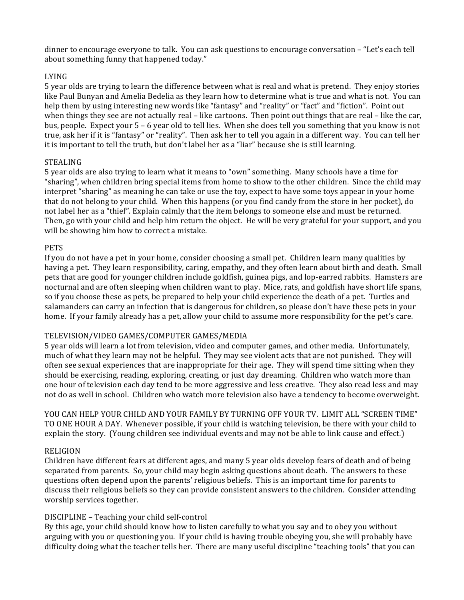dinner to encourage everyone to talk. You can ask questions to encourage conversation  $-$  "Let's each tell about something funny that happened today."

## LYING

5 year olds are trying to learn the difference between what is real and what is pretend. They enjoy stories like Paul Bunyan and Amelia Bedelia as they learn how to determine what is true and what is not. You can help them by using interesting new words like "fantasy" and "reality" or "fact" and "fiction". Point out when things they see are not actually real – like cartoons. Then point out things that are real – like the car, bus, people. Expect your 5 – 6 year old to tell lies. When she does tell you something that you know is not true, ask her if it is "fantasy" or "reality". Then ask her to tell you again in a different way. You can tell her it is important to tell the truth, but don't label her as a "liar" because she is still learning.

## STEALING

5 year olds are also trying to learn what it means to "own" something. Many schools have a time for "sharing", when children bring special items from home to show to the other children. Since the child may interpret "sharing" as meaning he can take or use the toy, expect to have some toys appear in your home that do not belong to your child. When this happens (or you find candy from the store in her pocket), do not label her as a "thief". Explain calmly that the item belongs to someone else and must be returned. Then, go with your child and help him return the object. He will be very grateful for your support, and you will be showing him how to correct a mistake.

## **PETS**

If you do not have a pet in your home, consider choosing a small pet. Children learn many qualities by having a pet. They learn responsibility, caring, empathy, and they often learn about birth and death. Small pets that are good for younger children include goldfish, guinea pigs, and lop-earred rabbits. Hamsters are nocturnal and are often sleeping when children want to play. Mice, rats, and goldfish have short life spans, so if you choose these as pets, be prepared to help your child experience the death of a pet. Turtles and salamanders can carry an infection that is dangerous for children, so please don't have these pets in your home. If your family already has a pet, allow your child to assume more responsibility for the pet's care.

## TELEVISION/VIDEO GAMES/COMPUTER GAMES/MEDIA

5 year olds will learn a lot from television, video and computer games, and other media. Unfortunately, much of what they learn may not be helpful. They may see violent acts that are not punished. They will often see sexual experiences that are inappropriate for their age. They will spend time sitting when they should be exercising, reading, exploring, creating, or just day dreaming. Children who watch more than one hour of television each day tend to be more aggressive and less creative. They also read less and may not do as well in school. Children who watch more television also have a tendency to become overweight.

YOU CAN HELP YOUR CHILD AND YOUR FAMILY BY TURNING OFF YOUR TV. LIMIT ALL "SCREEN TIME" TO ONE HOUR A DAY. Whenever possible, if your child is watching television, be there with your child to explain the story. (Young children see individual events and may not be able to link cause and effect.)

## RELIGION

Children have different fears at different ages, and many 5 year olds develop fears of death and of being separated from parents. So, your child may begin asking questions about death. The answers to these questions often depend upon the parents' religious beliefs. This is an important time for parents to discuss their religious beliefs so they can provide consistent answers to the children. Consider attending worship services together.

## DISCIPLINE - Teaching your child self-control

By this age, your child should know how to listen carefully to what you say and to obey you without arguing with you or questioning you. If your child is having trouble obeying you, she will probably have difficulty doing what the teacher tells her. There are many useful discipline "teaching tools" that you can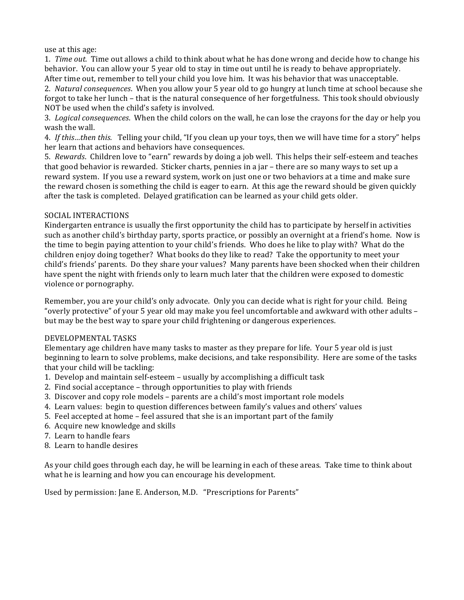use at this age:

1. *Time out.* Time out allows a child to think about what he has done wrong and decide how to change his behavior. You can allow your 5 year old to stay in time out until he is ready to behave appropriately. After time out, remember to tell your child you love him. It was his behavior that was unacceptable.

2. *Natural consequences*. When you allow your 5 year old to go hungry at lunch time at school because she forgot to take her lunch – that is the natural consequence of her forgetfulness. This took should obviously NOT be used when the child's safety is involved.

3. *Logical consequences*. When the child colors on the wall, he can lose the crayons for the day or help you wash the wall.

4. If this...then this. Telling your child, "If you clean up your toys, then we will have time for a story" helps her learn that actions and behaviors have consequences.

5. *Rewards*. Children love to "earn" rewards by doing a job well. This helps their self-esteem and teaches that good behavior is rewarded. Sticker charts, pennies in a jar - there are so many ways to set up a reward system. If you use a reward system, work on just one or two behaviors at a time and make sure the reward chosen is something the child is eager to earn. At this age the reward should be given quickly after the task is completed. Delayed gratification can be learned as your child gets older.

## SOCIAL INTERACTIONS

Kindergarten entrance is usually the first opportunity the child has to participate by herself in activities such as another child's birthday party, sports practice, or possibly an overnight at a friend's home. Now is the time to begin paying attention to your child's friends. Who does he like to play with? What do the children enjoy doing together? What books do they like to read? Take the opportunity to meet your child's friends' parents. Do they share your values? Many parents have been shocked when their children have spent the night with friends only to learn much later that the children were exposed to domestic violence or pornography.

Remember, you are your child's only advocate. Only you can decide what is right for your child. Being "overly protective" of your 5 year old may make you feel uncomfortable and awkward with other adults – but may be the best way to spare your child frightening or dangerous experiences.

## DEVELOPMENTAL TASKS

Elementary age children have many tasks to master as they prepare for life. Your 5 year old is just beginning to learn to solve problems, make decisions, and take responsibility. Here are some of the tasks that your child will be tackling:

- 1. Develop and maintain self-esteem usually by accomplishing a difficult task
- 2. Find social acceptance through opportunities to play with friends
- 3. Discover and copy role models parents are a child's most important role models
- 4. Learn values: begin to question differences between family's values and others' values
- 5. Feel accepted at home feel assured that she is an important part of the family
- 6. Acquire new knowledge and skills
- 7. Learn to handle fears
- 8. Learn to handle desires

As your child goes through each day, he will be learning in each of these areas. Take time to think about what he is learning and how you can encourage his development.

Used by permission: Jane E. Anderson, M.D. "Prescriptions for Parents"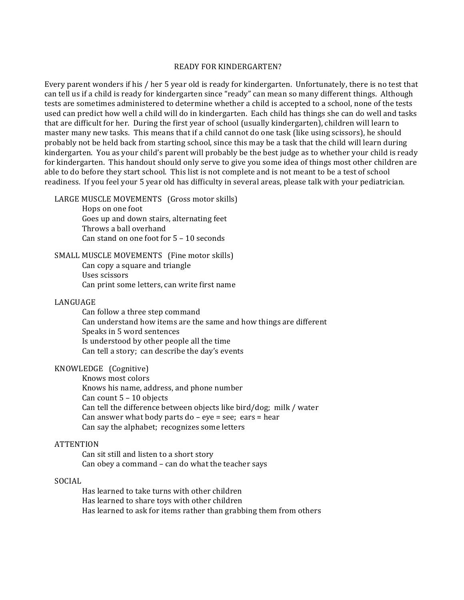#### READY FOR KINDERGARTEN?

Every parent wonders if his / her 5 year old is ready for kindergarten. Unfortunately, there is no test that can tell us if a child is ready for kindergarten since "ready" can mean so many different things. Although tests are sometimes administered to determine whether a child is accepted to a school, none of the tests used can predict how well a child will do in kindergarten. Each child has things she can do well and tasks that are difficult for her. During the first year of school (usually kindergarten), children will learn to master many new tasks. This means that if a child cannot do one task (like using scissors), he should probably not be held back from starting school, since this may be a task that the child will learn during kindergarten. You as your child's parent will probably be the best judge as to whether your child is ready for kindergarten. This handout should only serve to give you some idea of things most other children are able to do before they start school. This list is not complete and is not meant to be a test of school readiness. If you feel your 5 year old has difficulty in several areas, please talk with your pediatrician.

#### LARGE MUSCLE MOVEMENTS (Gross motor skills)

Hops on one foot Goes up and down stairs, alternating feet Throws a ball overhand Can stand on one foot for  $5 - 10$  seconds

#### SMALL MUSCLE MOVEMENTS (Fine motor skills) Can copy a square and triangle Uses scissors

Can print some letters, can write first name

#### LANGUAGE

Can follow a three step command Can understand how items are the same and how things are different Speaks in 5 word sentences Is understood by other people all the time Can tell a story; can describe the day's events

## KNOWLEDGE (Cognitive)

Knows most colors Knows his name, address, and phone number Can count  $5 - 10$  objects Can tell the difference between objects like bird/dog; milk / water Can answer what body parts  $do - eye = see$ ;  $ears = hear$ Can say the alphabet; recognizes some letters

#### **ATTENTION**

Can sit still and listen to a short story Can obey a command – can do what the teacher says

## SOCIAL

Has learned to take turns with other children Has learned to share toys with other children Has learned to ask for items rather than grabbing them from others